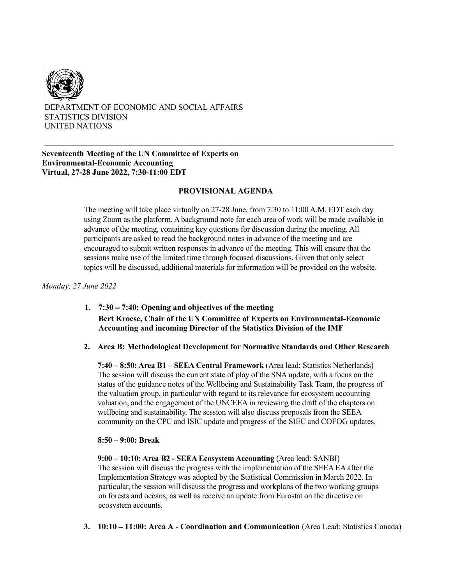

# DEPARTMENT OF ECONOMIC AND SOCIAL AFFAIRS STATISTICS DIVISION UNITED NATIONS

## **Seventeenth Meeting of the UN Committee of Experts on Environmental-Economic Accounting Virtual, 27-28 June 2022, 7:30-11:00 EDT**

# **PROVISIONAL AGENDA**

 $\_$  , and the set of the set of the set of the set of the set of the set of the set of the set of the set of the set of the set of the set of the set of the set of the set of the set of the set of the set of the set of th

The meeting will take place virtually on 27-28 June, from 7:30 to 11:00 A.M. EDT each day using Zoom as the platform. A background note for each area of work will be made available in advance of the meeting, containing key questions for discussion during the meeting. All participants are asked to read the background notes in advance of the meeting and are encouraged to submit written responses in advance of the meeting. This will ensure that the sessions make use of the limited time through focused discussions. Given that only select topics will be discussed, additional materials for information will be provided on the website.

# *Monday, 27 June 2022*

- **1. 7:30 7:40: Opening and objectives of the meeting Bert Kroese, Chair of the UN Committee of Experts on Environmental-Economic Accounting and incoming Director of the Statistics Division of the IMF**
- **2. Area B: Methodological Development for Normative Standards and Other Research**

**7:40 – 8:50: Area B1 – SEEA Central Framework** (Area lead: Statistics Netherlands) The session will discuss the current state of play of the SNA update, with a focus on the status of the guidance notes of the Wellbeing and Sustainability Task Team, the progress of the valuation group, in particular with regard to its relevance for ecosystem accounting valuation, and the engagement of the UNCEEA in reviewing the draft of the chapters on wellbeing and sustainability. The session will also discuss proposals from the SEEA community on the CPC and ISIC update and progress of the SIEC and COFOG updates.

#### **8:50 – 9:00: Break**

**9:00 – 10:10: Area B2 - SEEA Ecosystem Accounting** (Area lead: SANBI) The session will discuss the progress with the implementation of the SEEA EA after the Implementation Strategy was adopted by the Statistical Commission in March 2022. In particular, the session will discuss the progress and workplans of the two working groups on forests and oceans, as well as receive an update from Eurostat on the directive on ecosystem accounts.

**3. 10:10** – **11:00: Area A - Coordination and Communication** (Area Lead: Statistics Canada)